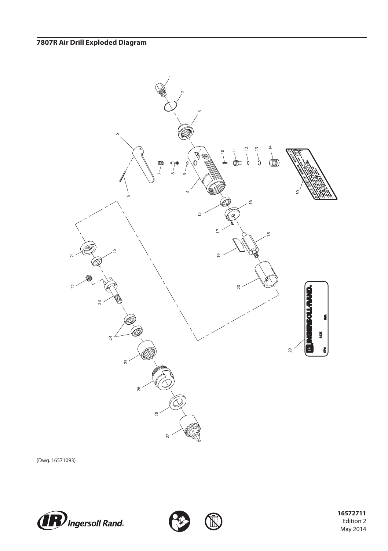

(Dwg. 16571093)







 Edition 2 May 2014